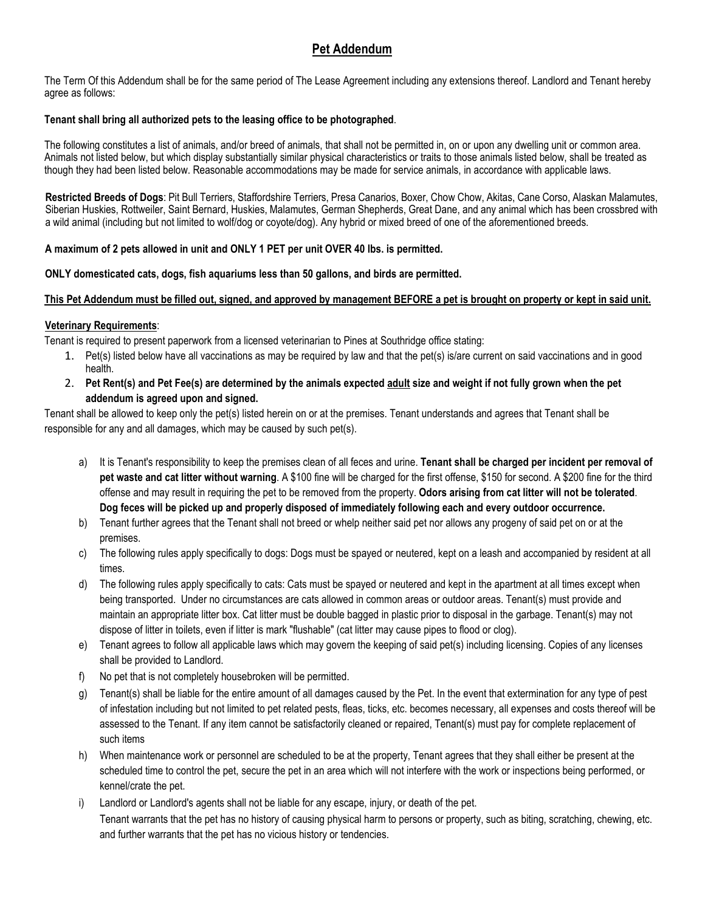# **Pet Addendum**

The Term Of this Addendum shall be for the same period of The Lease Agreement including any extensions thereof. Landlord and Tenant hereby agree as follows:

### **Tenant shall bring all authorized pets to the leasing office to be photographed**.

The following constitutes a list of animals, and/or breed of animals, that shall not be permitted in, on or upon any dwelling unit or common area. Animals not listed below, but which display substantially similar physical characteristics or traits to those animals listed below, shall be treated as though they had been listed below. Reasonable accommodations may be made for service animals, in accordance with applicable laws.

**Restricted Breeds of Dogs**: Pit Bull Terriers, Staffordshire Terriers, Presa Canarios, Boxer, Chow Chow, Akitas, Cane Corso, Alaskan Malamutes, Siberian Huskies, Rottweiler, Saint Bernard, Huskies, Malamutes, German Shepherds, Great Dane, and any animal which has been crossbred with a wild animal (including but not limited to wolf/dog or coyote/dog). Any hybrid or mixed breed of one of the aforementioned breeds.

# **A maximum of 2 pets allowed in unit and ONLY 1 PET per unit OVER 40 lbs. is permitted.**

### **ONLY domesticated cats, dogs, fish aquariums less than 50 gallons, and birds are permitted.**

# **This Pet Addendum must be filled out, signed, and approved by management BEFORE a pet is brought on property or kept in said unit.**

# **Veterinary Requirements**:

Tenant is required to present paperwork from a licensed veterinarian to Pines at Southridge office stating:

- 1. Pet(s) listed below have all vaccinations as may be required by law and that the pet(s) is/are current on said vaccinations and in good health.
- 2. **Pet Rent(s) and Pet Fee(s) are determined by the animals expected adult size and weight if not fully grown when the pet addendum is agreed upon and signed.**

Tenant shall be allowed to keep only the pet(s) listed herein on or at the premises. Tenant understands and agrees that Tenant shall be responsible for any and all damages, which may be caused by such pet(s).

- a) It is Tenant's responsibility to keep the premises clean of all feces and urine. **Tenant shall be charged per incident per removal of pet waste and cat litter without warning**. A \$100 fine will be charged for the first offense, \$150 for second. A \$200 fine for the third offense and may result in requiring the pet to be removed from the property. **Odors arising from cat litter will not be tolerated**. **Dog feces will be picked up and properly disposed of immediately following each and every outdoor occurrence.**
- b) Tenant further agrees that the Tenant shall not breed or whelp neither said pet nor allows any progeny of said pet on or at the premises.
- c) The following rules apply specifically to dogs: Dogs must be spayed or neutered, kept on a leash and accompanied by resident at all times.
- d) The following rules apply specifically to cats: Cats must be spayed or neutered and kept in the apartment at all times except when being transported. Under no circumstances are cats allowed in common areas or outdoor areas. Tenant(s) must provide and maintain an appropriate litter box. Cat litter must be double bagged in plastic prior to disposal in the garbage. Tenant(s) may not dispose of litter in toilets, even if litter is mark "flushable" (cat litter may cause pipes to flood or clog).
- e) Tenant agrees to follow all applicable laws which may govern the keeping of said pet(s) including licensing. Copies of any licenses shall be provided to Landlord.
- f) No pet that is not completely housebroken will be permitted.
- g) Tenant(s) shall be liable for the entire amount of all damages caused by the Pet. In the event that extermination for any type of pest of infestation including but not limited to pet related pests, fleas, ticks, etc. becomes necessary, all expenses and costs thereof will be assessed to the Tenant. If any item cannot be satisfactorily cleaned or repaired, Tenant(s) must pay for complete replacement of such items
- h) When maintenance work or personnel are scheduled to be at the property, Tenant agrees that they shall either be present at the scheduled time to control the pet, secure the pet in an area which will not interfere with the work or inspections being performed, or kennel/crate the pet.
- i) Landlord or Landlord's agents shall not be liable for any escape, injury, or death of the pet. Tenant warrants that the pet has no history of causing physical harm to persons or property, such as biting, scratching, chewing, etc. and further warrants that the pet has no vicious history or tendencies.